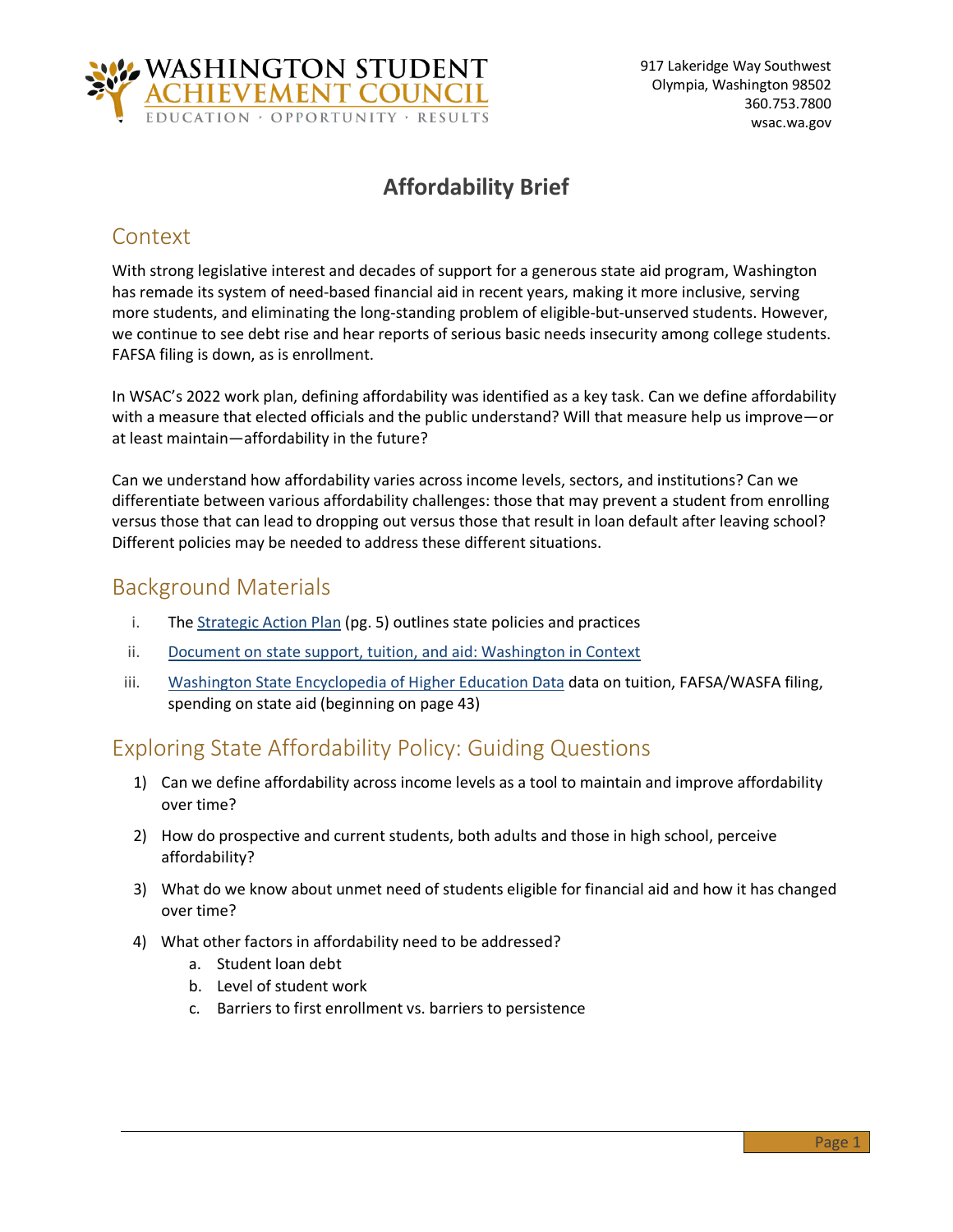

# **Affordability Brief**

### Context

With strong legislative interest and decades of support for a generous state aid program, Washington has remade its system of need-based financial aid in recent years, making it more inclusive, serving more students, and eliminating the long-standing problem of eligible-but-unserved students. However, we continue to see debt rise and hear reports of serious basic needs insecurity among college students. FAFSA filing is down, as is enrollment.

In WSAC's 2022 work plan, defining affordability was identified as a key task. Can we define affordability with a measure that elected officials and the public understand? Will that measure help us improve—or at least maintain—affordability in the future?

Can we understand how affordability varies across income levels, sectors, and institutions? Can we differentiate between various affordability challenges: those that may prevent a student from enrolling versus those that can lead to dropping out versus those that result in loan default after leaving school? Different policies may be needed to address these different situations.

#### Background Materials

- i. The [Strategic Action Plan](https://wsac.wa.gov/sites/default/files/2021-Strategic-Action-Plan.pdf) (pg. 5) outlines state policies and practices
- ii. [Document on state support, tuition, and aid: Washington in Context](https://wsac.wa.gov/sites/default/files/2022-05-24-0341-Affordability-Background.pdf)
- iii. [Washington State Encyclopedia of Higher Education Data](https://wsac.wa.gov/sites/default/files/WSAC-Education-Data-Encyclopedia.pdf) data on tuition, FAFSA/WASFA filing, spending on state aid (beginning on page 43)

### Exploring State Affordability Policy: Guiding Questions

- 1) Can we define affordability across income levels as a tool to maintain and improve affordability over time?
- 2) How do prospective and current students, both adults and those in high school, perceive affordability?
- 3) What do we know about unmet need of students eligible for financial aid and how it has changed over time?
- 4) What other factors in affordability need to be addressed?
	- a. Student loan debt
	- b. Level of student work
	- c. Barriers to first enrollment vs. barriers to persistence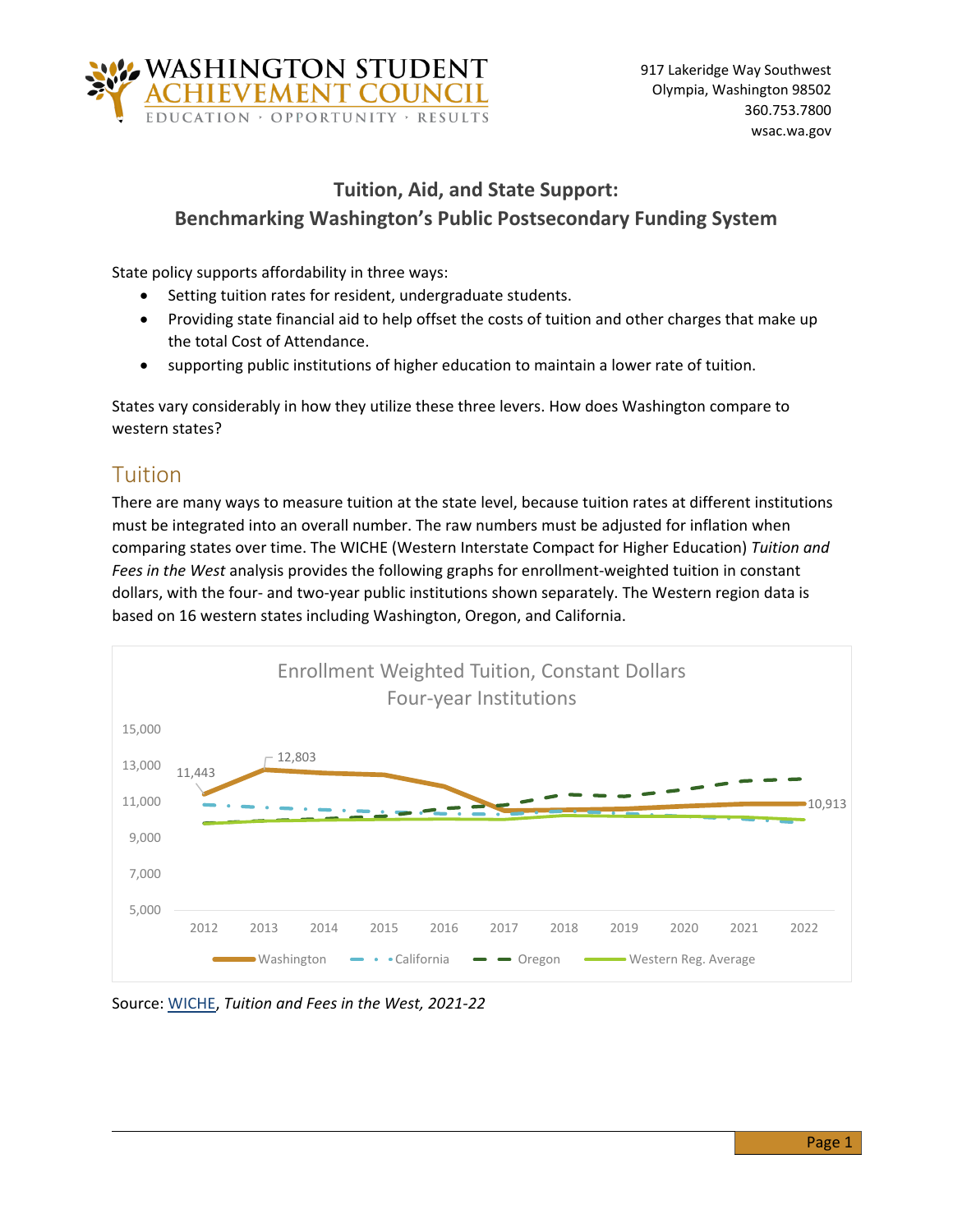

### **Tuition, Aid, and State Support: Benchmarking Washington's Public Postsecondary Funding System**

State policy supports affordability in three ways:

- Setting tuition rates for resident, undergraduate students.
- Providing state financial aid to help offset the costs of tuition and other charges that make up the total Cost of Attendance.
- supporting public institutions of higher education to maintain a lower rate of tuition.

States vary considerably in how they utilize these three levers. How does Washington compare to western states?

### Tuition

There are many ways to measure tuition at the state level, because tuition rates at different institutions must be integrated into an overall number. The raw numbers must be adjusted for inflation when comparing states over time. The WICHE (Western Interstate Compact for Higher Education) *Tuition and Fees in the West* analysis provides the following graphs for enrollment-weighted tuition in constant dollars, with the four- and two-year public institutions shown separately. The Western region data is based on 16 western states including Washington, Oregon, and California.



Source: [WICHE,](https://www.wiche.edu/policy-research-/data-resources/tuition-fees/) *Tuition and Fees in the West, 2021-22*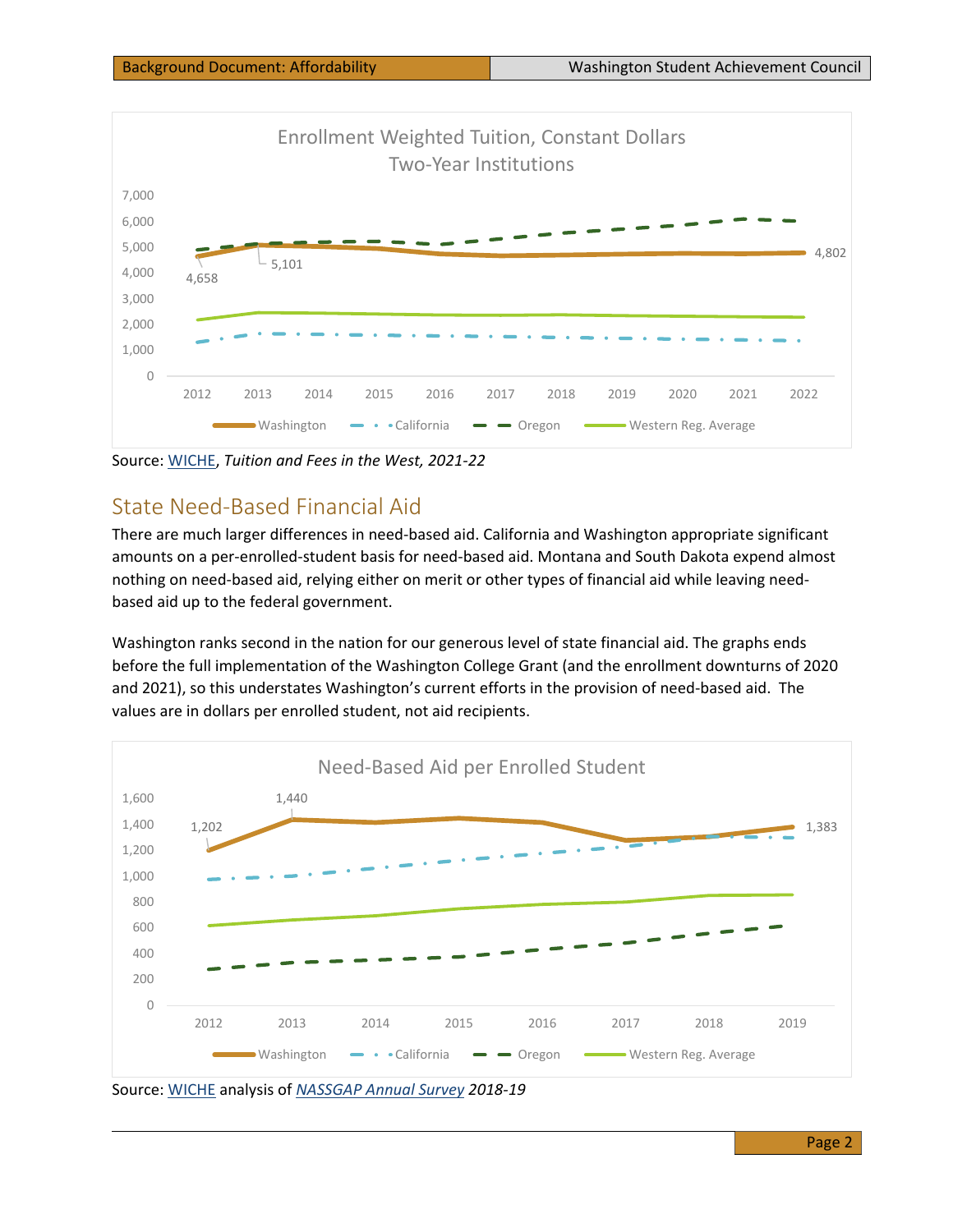

Source: [WICHE,](https://www.wiche.edu/policy-research-/data-resources/tuition-fees/) *Tuition and Fees in the West, 2021-22*

## State Need-Based Financial Aid

There are much larger differences in need-based aid. California and Washington appropriate significant amounts on a per-enrolled-student basis for need-based aid. Montana and South Dakota expend almost nothing on need-based aid, relying either on merit or other types of financial aid while leaving needbased aid up to the federal government.

Washington ranks second in the nation for our generous level of state financial aid. The graphs ends before the full implementation of the Washington College Grant (and the enrollment downturns of 2020 and 2021), so this understates Washington's current efforts in the provision of need-based aid. The values are in dollars per enrolled student, not aid recipients.



Source: [WICHE](https://www.wiche.edu/policy-research-/data-resources/tuition-fees/) analysis of *[NASSGAP Annual Survey](https://www.nassgapsurvey.com/survey_reports.aspx) 2018-19*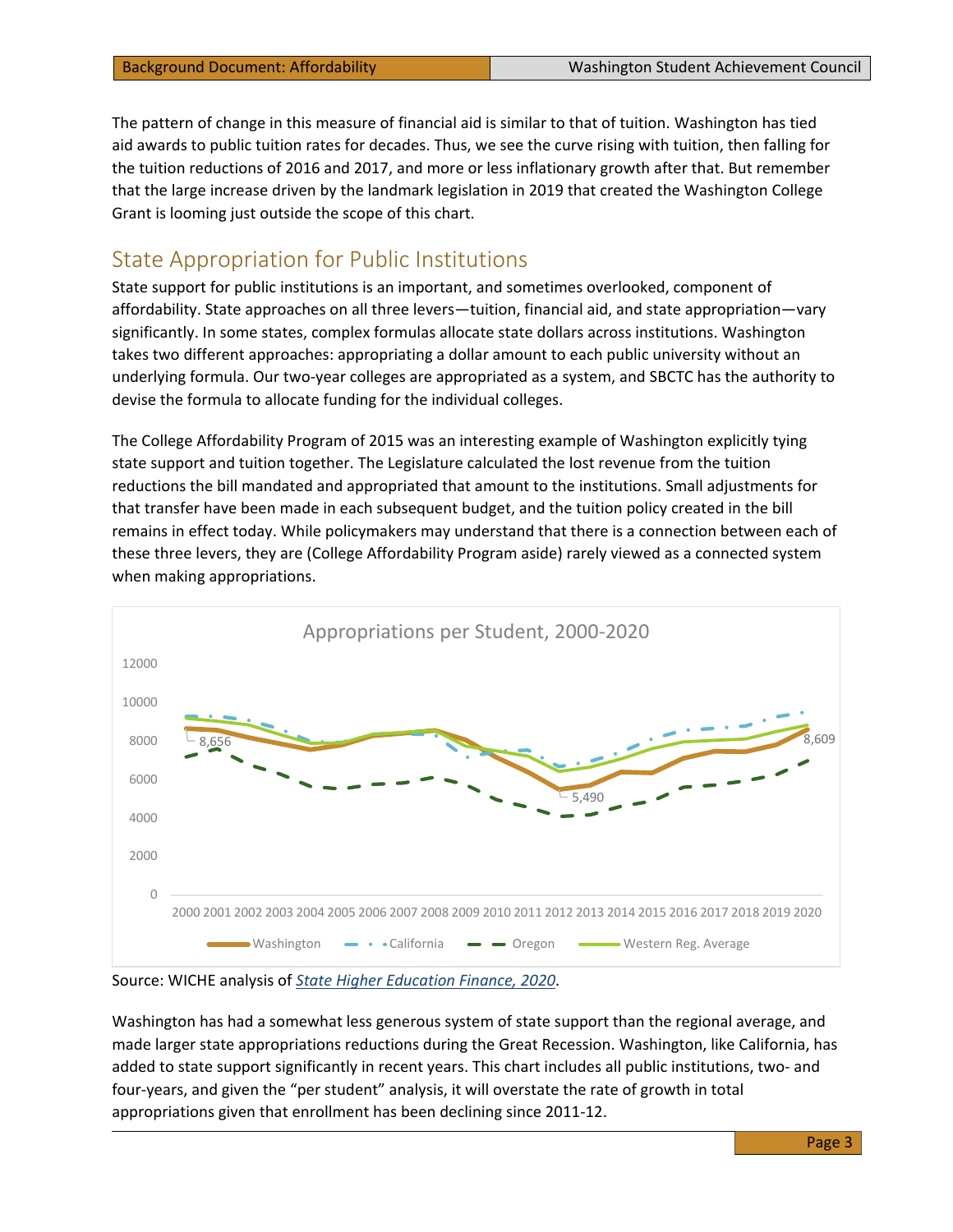The pattern of change in this measure of financial aid is similar to that of tuition. Washington has tied aid awards to public tuition rates for decades. Thus, we see the curve rising with tuition, then falling for the tuition reductions of 2016 and 2017, and more or less inflationary growth after that. But remember that the large increase driven by the landmark legislation in 2019 that created the Washington College Grant is looming just outside the scope of this chart.

#### State Appropriation for Public Institutions

State support for public institutions is an important, and sometimes overlooked, component of affordability. State approaches on all three levers—tuition, financial aid, and state appropriation—vary significantly. In some states, complex formulas allocate state dollars across institutions. Washington takes two different approaches: appropriating a dollar amount to each public university without an underlying formula. Our two-year colleges are appropriated as a system, and SBCTC has the authority to devise the formula to allocate funding for the individual colleges.

The College Affordability Program of 2015 was an interesting example of Washington explicitly tying state support and tuition together. The Legislature calculated the lost revenue from the tuition reductions the bill mandated and appropriated that amount to the institutions. Small adjustments for that transfer have been made in each subsequent budget, and the tuition policy created in the bill remains in effect today. While policymakers may understand that there is a connection between each of these three levers, they are (College Affordability Program aside) rarely viewed as a connected system when making appropriations.



Source: WICHE analysis of *[State Higher Education Finance, 2020](https://shef.sheeo.org/wp-content/uploads/2021/05/SHEEO_SHEF_FY20_Report.pdf)*.

Washington has had a somewhat less generous system of state support than the regional average, and made larger state appropriations reductions during the Great Recession. Washington, like California, has added to state support significantly in recent years. This chart includes all public institutions, two- and four-years, and given the "per student" analysis, it will overstate the rate of growth in total appropriations given that enrollment has been declining since 2011-12.